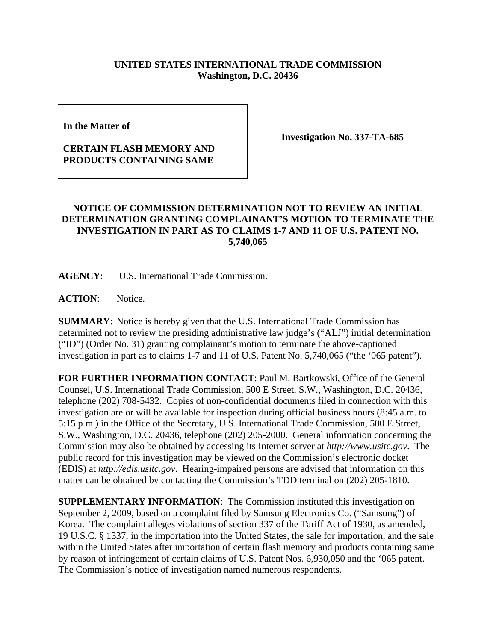## **UNITED STATES INTERNATIONAL TRADE COMMISSION Washington, D.C. 20436**

**In the Matter of** 

## **CERTAIN FLASH MEMORY AND PRODUCTS CONTAINING SAME**

**Investigation No. 337-TA-685**

## **NOTICE OF COMMISSION DETERMINATION NOT TO REVIEW AN INITIAL DETERMINATION GRANTING COMPLAINANT'S MOTION TO TERMINATE THE INVESTIGATION IN PART AS TO CLAIMS 1-7 AND 11 OF U.S. PATENT NO. 5,740,065**

**AGENCY**: U.S. International Trade Commission.

ACTION: Notice.

**SUMMARY**: Notice is hereby given that the U.S. International Trade Commission has determined not to review the presiding administrative law judge's ("ALJ") initial determination ("ID") (Order No. 31) granting complainant's motion to terminate the above-captioned investigation in part as to claims 1-7 and 11 of U.S. Patent No. 5,740,065 ("the '065 patent").

**FOR FURTHER INFORMATION CONTACT**: Paul M. Bartkowski, Office of the General Counsel, U.S. International Trade Commission, 500 E Street, S.W., Washington, D.C. 20436, telephone (202) 708-5432. Copies of non-confidential documents filed in connection with this investigation are or will be available for inspection during official business hours (8:45 a.m. to 5:15 p.m.) in the Office of the Secretary, U.S. International Trade Commission, 500 E Street, S.W., Washington, D.C. 20436, telephone (202) 205-2000. General information concerning the Commission may also be obtained by accessing its Internet server at *http://www.usitc.gov*. The public record for this investigation may be viewed on the Commission's electronic docket (EDIS) at *http://edis.usitc.gov*. Hearing-impaired persons are advised that information on this matter can be obtained by contacting the Commission's TDD terminal on (202) 205-1810.

**SUPPLEMENTARY INFORMATION:** The Commission instituted this investigation on September 2, 2009, based on a complaint filed by Samsung Electronics Co. ("Samsung") of Korea. The complaint alleges violations of section 337 of the Tariff Act of 1930, as amended, 19 U.S.C. § 1337, in the importation into the United States, the sale for importation, and the sale within the United States after importation of certain flash memory and products containing same by reason of infringement of certain claims of U.S. Patent Nos. 6,930,050 and the '065 patent. The Commission's notice of investigation named numerous respondents.